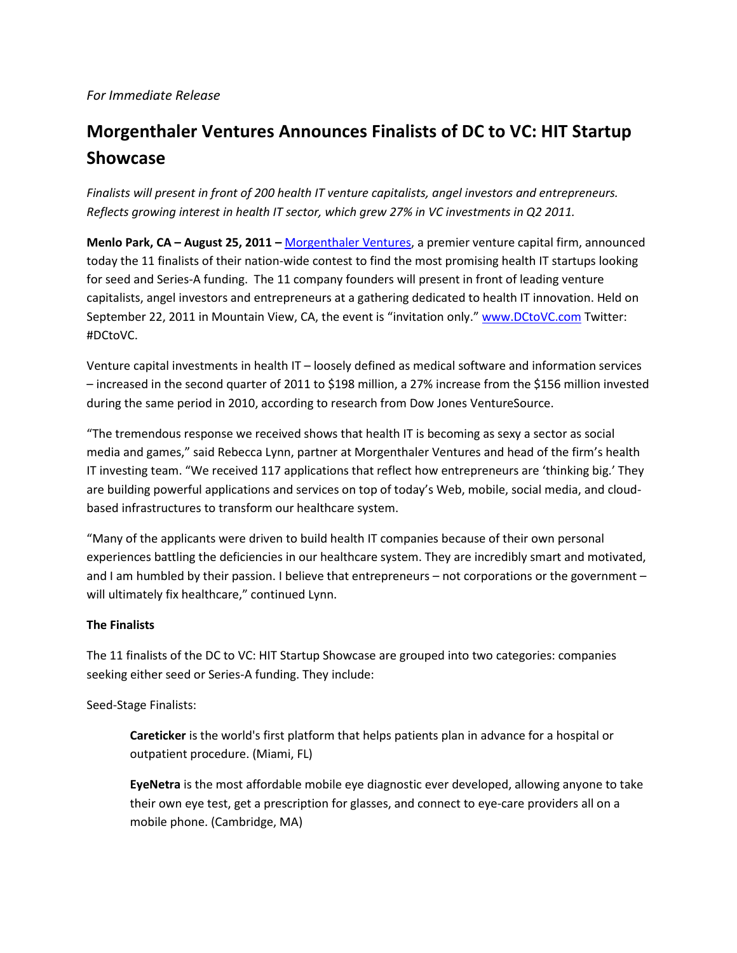## *For Immediate Release*

# **Morgenthaler Ventures Announces Finalists of DC to VC: HIT Startup Showcase**

*Finalists will present in front of 200 health IT venture capitalists, angel investors and entrepreneurs. Reflects growing interest in health IT sector, which grew 27% in VC investments in Q2 2011.*

**Menlo Park, CA – August 25, 2011 –** Morgenthaler Ventures, a premier venture capital firm, announced today the 11 finalists of their nation-wide contest to find the most promising health IT startups looking for seed and Series-A funding. The 11 company founders will present in front of leading venture capitalists, angel investors and entrepreneurs at a gathering dedicated to health IT innovation. Held on September 22, 2011 in Mountain View, CA, the event is "invitation only." www.DCtoVC.com Twitter: #DCtoVC.

Venture capital investments in health IT – loosely defined as medical software and information services – increased in the second quarter of 2011 to \$198 million, a 27% increase from the \$156 million invested during the same period in 2010, according to research from Dow Jones VentureSource.

"The tremendous response we received shows that health IT is becoming as sexy a sector as social media and games," said Rebecca Lynn, partner at Morgenthaler Ventures and head of the firm's health IT investing team. "We received 117 applications that reflect how entrepreneurs are 'thinking big.' They are building powerful applications and services on top of today's Web, mobile, social media, and cloudbased infrastructures to transform our healthcare system.

"Many of the applicants were driven to build health IT companies because of their own personal experiences battling the deficiencies in our healthcare system. They are incredibly smart and motivated, and I am humbled by their passion. I believe that entrepreneurs – not corporations or the government – will ultimately fix healthcare," continued Lynn.

## **The Finalists**

The 11 finalists of the DC to VC: HIT Startup Showcase are grouped into two categories: companies seeking either seed or Series-A funding. They include:

Seed-Stage Finalists:

**Careticker** is the world's first platform that helps patients plan in advance for a hospital or outpatient procedure. (Miami, FL)

**EyeNetra** is the most affordable mobile eye diagnostic ever developed, allowing anyone to take their own eye test, get a prescription for glasses, and connect to eye-care providers all on a mobile phone. (Cambridge, MA)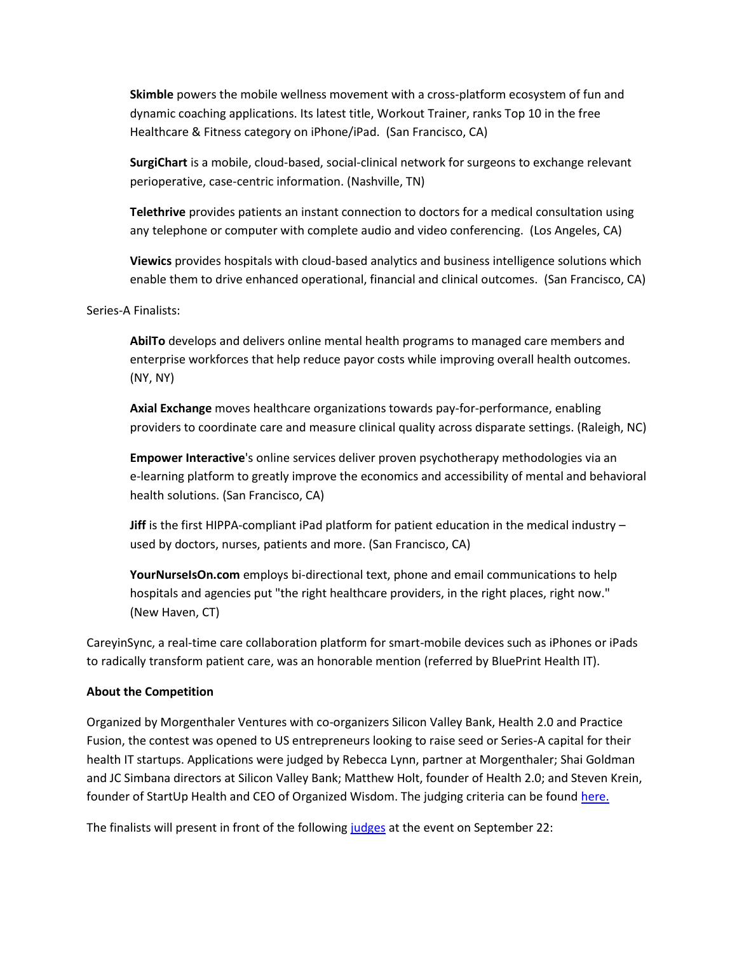**Skimble** powers the mobile wellness movement with a cross-platform ecosystem of fun and dynamic coaching applications. Its latest title, Workout Trainer, ranks Top 10 in the free Healthcare & Fitness category on iPhone/iPad. (San Francisco, CA)

**SurgiChart** is a mobile, cloud-based, social-clinical network for surgeons to exchange relevant perioperative, case-centric information. (Nashville, TN)

**Telethrive** provides patients an instant connection to doctors for a medical consultation using any telephone or computer with complete audio and video conferencing. (Los Angeles, CA)

**Viewics** provides hospitals with cloud-based analytics and business intelligence solutions which enable them to drive enhanced operational, financial and clinical outcomes. (San Francisco, CA)

Series-A Finalists:

**AbilTo** develops and delivers online mental health programs to managed care members and enterprise workforces that help reduce payor costs while improving overall health outcomes. (NY, NY)

**Axial Exchange** moves healthcare organizations towards pay-for-performance, enabling providers to coordinate care and measure clinical quality across disparate settings. (Raleigh, NC)

**Empower Interactive**'s online services deliver proven psychotherapy methodologies via an e-learning platform to greatly improve the economics and accessibility of mental and behavioral health solutions. (San Francisco, CA)

**Jiff** is the first HIPPA-compliant iPad platform for patient education in the medical industry – used by doctors, nurses, patients and more. (San Francisco, CA)

**YourNurseIsOn.com** employs bi-directional text, phone and email communications to help hospitals and agencies put "the right healthcare providers, in the right places, right now." (New Haven, CT)

CareyinSync, a real-time care collaboration platform for smart-mobile devices such as iPhones or iPads to radically transform patient care, was an honorable mention (referred by BluePrint Health IT).

#### **About the Competition**

Organized by Morgenthaler Ventures with co-organizers Silicon Valley Bank, Health 2.0 and Practice Fusion, the contest was opened to US entrepreneurs looking to raise seed or Series-A capital for their health IT startups. Applications were judged by Rebecca Lynn, partner at Morgenthaler; Shai Goldman and JC Simbana directors at Silicon Valley Bank; Matthew Holt, founder of Health 2.0; and Steven Krein, founder of StartUp Health and CEO of Organized Wisdom. The judging criteria can be found here.

The finalists will present in front of the following judges at the event on September 22: